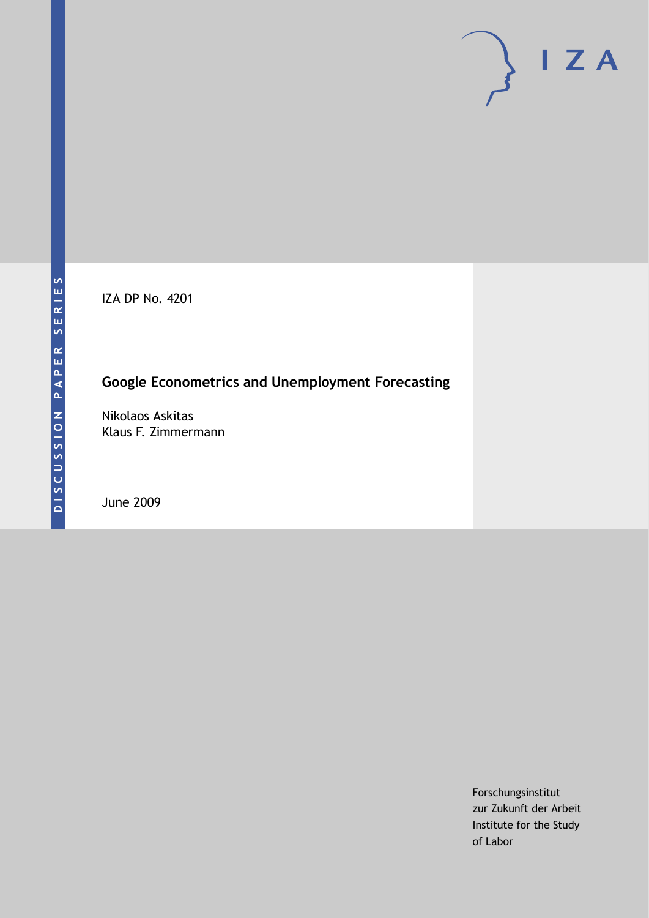IZA DP No. 4201

### **Google Econometrics and Unemployment Forecasting**

Nikolaos Askitas Klaus F. Zimmermann

June 2009

Forschungsinstitut zur Zukunft der Arbeit Institute for the Study of Labor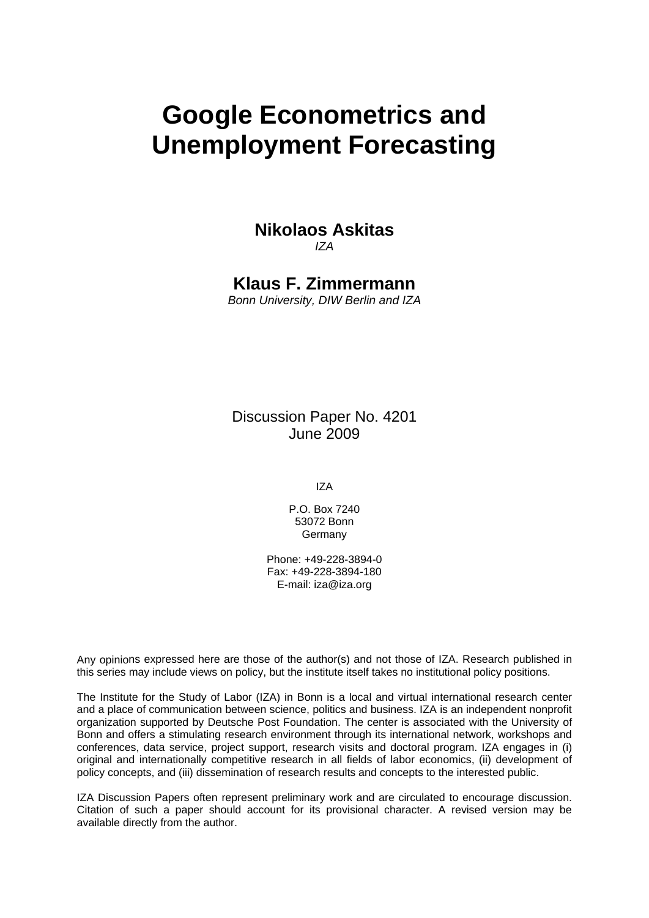# **Google Econometrics and Unemployment Forecasting**

## **Nikolaos Askitas**

*IZA* 

**Klaus F. Zimmermann** 

*Bonn University, DIW Berlin and IZA* 

Discussion Paper No. 4201 June 2009

IZA

P.O. Box 7240 53072 Bonn Germany

Phone: +49-228-3894-0 Fax: +49-228-3894-180 E-mail: [iza@iza.org](mailto:iza@iza.org) 

Any opinions expressed here are those of the author(s) and not those of IZA. Research published in this series may include views on policy, but the institute itself takes no institutional policy positions.

The Institute for the Study of Labor (IZA) in Bonn is a local and virtual international research center and a place of communication between science, politics and business. IZA is an independent nonprofit organization supported by Deutsche Post Foundation. The center is associated with the University of Bonn and offers a stimulating research environment through its international network, workshops and conferences, data service, project support, research visits and doctoral program. IZA engages in (i) original and internationally competitive research in all fields of labor economics, (ii) development of policy concepts, and (iii) dissemination of research results and concepts to the interested public.

IZA Discussion Papers often represent preliminary work and are circulated to encourage discussion. Citation of such a paper should account for its provisional character. A revised version may be available directly from the author.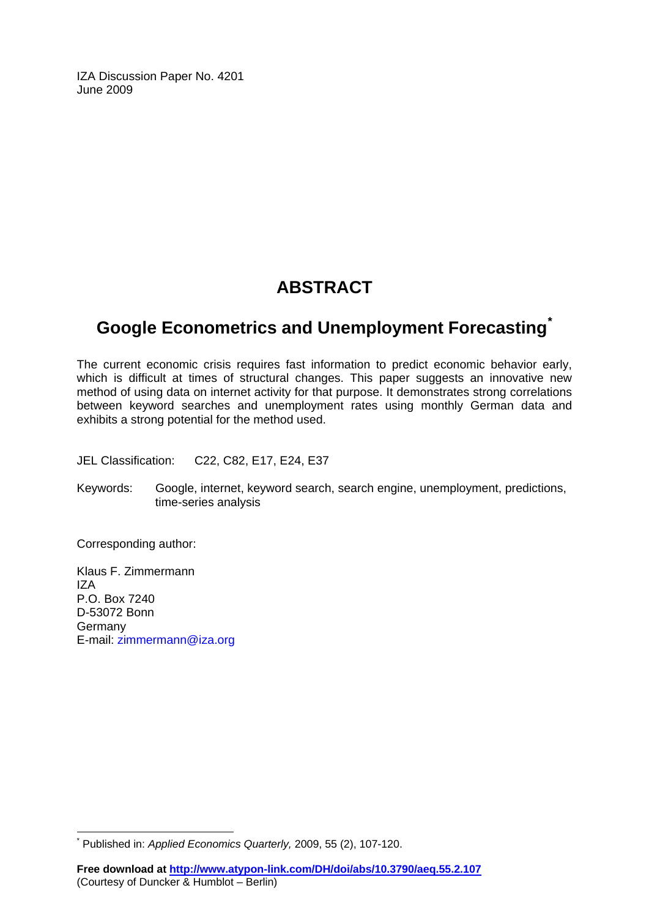IZA Discussion Paper No. 4201 June 2009

## **ABSTRACT**

## **Google Econometrics and Unemployment Forecasting[\\*](#page-2-0)**

The current economic crisis requires fast information to predict economic behavior early, which is difficult at times of structural changes. This paper suggests an innovative new method of using data on internet activity for that purpose. It demonstrates strong correlations between keyword searches and unemployment rates using monthly German data and exhibits a strong potential for the method used.

JEL Classification: C22, C82, E17, E24, E37

Keywords: Google, internet, keyword search, search engine, unemployment, predictions, time-series analysis

Corresponding author:

 $\overline{\phantom{a}}$ 

Klaus F. Zimmermann IZA P.O. Box 7240 D-53072 Bonn **Germany** E-mail: [zimmermann@iza.org](mailto:zimmermann@iza.org) 

<span id="page-2-0"></span><sup>\*</sup> Published in: *Applied Economics Quarterly,* 2009, 55 (2), 107-120.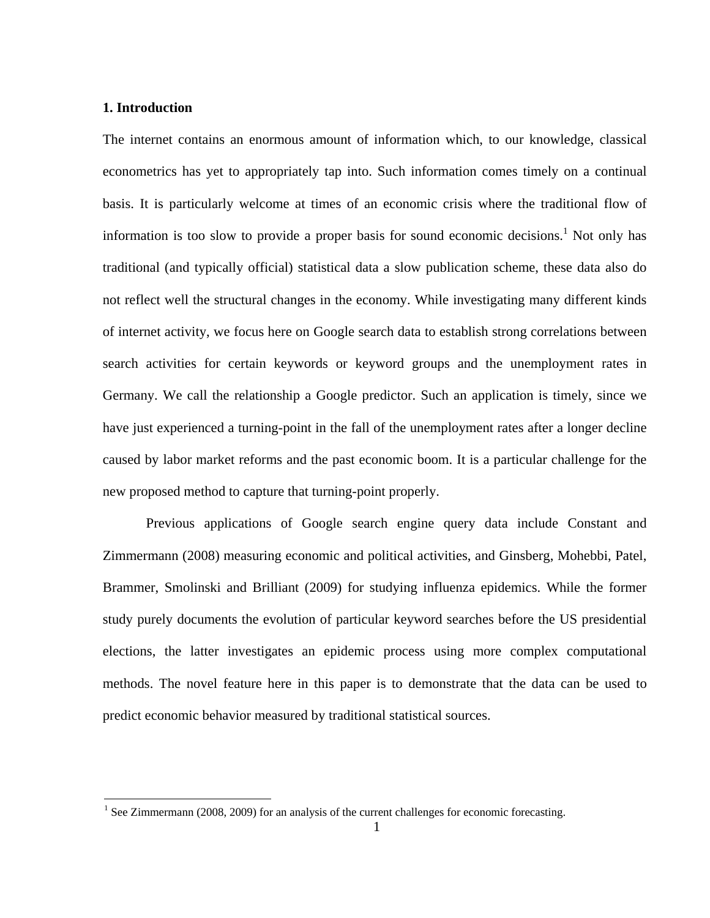#### **1. Introduction**

The internet contains an enormous amount of information which, to our knowledge, classical econometrics has yet to appropriately tap into. Such information comes timely on a continual basis. It is particularly welcome at times of an economic crisis where the traditional flow of information is too slow to provide a proper basis for sound economic decisions.<sup>1</sup> Not only has traditional (and typically official) statistical data a slow publication scheme, these data also do not reflect well the structural changes in the economy. While investigating many different kinds of internet activity, we focus here on Google search data to establish strong correlations between search activities for certain keywords or keyword groups and the unemployment rates in Germany. We call the relationship a Google predictor. Such an application is timely, since we have just experienced a turning-point in the fall of the unemployment rates after a longer decline caused by labor market reforms and the past economic boom. It is a particular challenge for the new proposed method to capture that turning-point properly.

 Previous applications of Google search engine query data include Constant and Zimmermann (2008) measuring economic and political activities, and Ginsberg, Mohebbi, Patel, Brammer, Smolinski and Brilliant (2009) for studying influenza epidemics. While the former study purely documents the evolution of particular keyword searches before the US presidential elections, the latter investigates an epidemic process using more complex computational methods. The novel feature here in this paper is to demonstrate that the data can be used to predict economic behavior measured by traditional statistical sources.

<sup>&</sup>lt;sup>1</sup> See Zimmermann (2008, 2009) for an analysis of the current challenges for economic forecasting.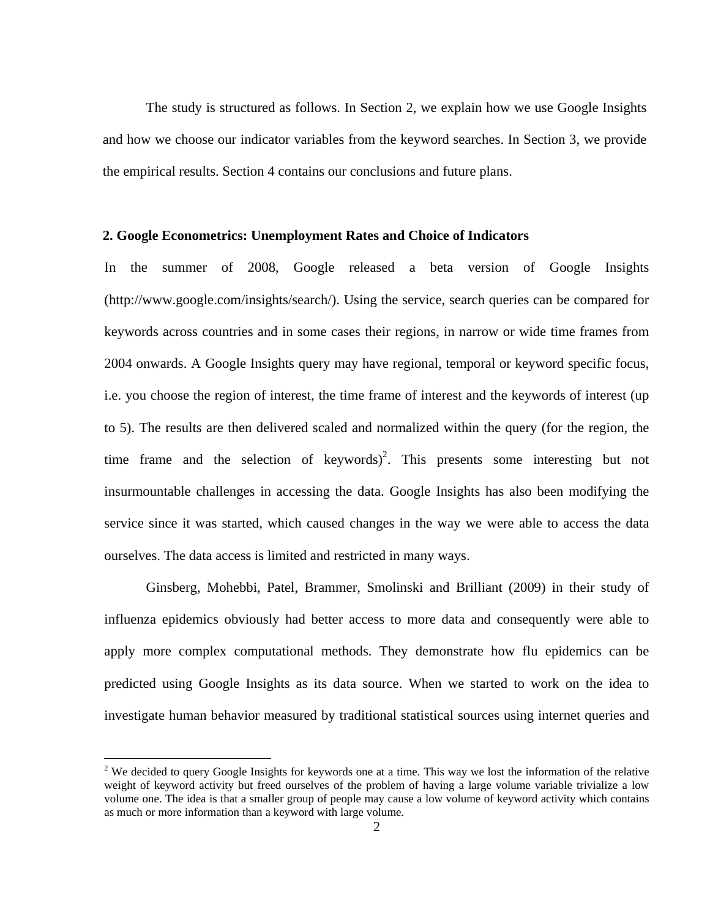The study is structured as follows. In Section 2, we explain how we use Google Insights and how we choose our indicator variables from the keyword searches. In Section 3, we provide the empirical results. Section 4 contains our conclusions and future plans.

#### **2. Google Econometrics: Unemployment Rates and Choice of Indicators**

In the summer of 2008, Google released a beta version of Google Insights (http://www.google.com/insights/search/). Using the service, search queries can be compared for keywords across countries and in some cases their regions, in narrow or wide time frames from 2004 onwards. A Google Insights query may have regional, temporal or keyword specific focus, i.e. you choose the region of interest, the time frame of interest and the keywords of interest (up to 5). The results are then delivered scaled and normalized within the query (for the region, the time frame and the selection of keywords)<sup>2</sup>. This presents some interesting but not insurmountable challenges in accessing the data. Google Insights has also been modifying the service since it was started, which caused changes in the way we were able to access the data ourselves. The data access is limited and restricted in many ways.

 Ginsberg, Mohebbi, Patel, Brammer, Smolinski and Brilliant (2009) in their study of influenza epidemics obviously had better access to more data and consequently were able to apply more complex computational methods. They demonstrate how flu epidemics can be predicted using Google Insights as its data source. When we started to work on the idea to investigate human behavior measured by traditional statistical sources using internet queries and

 $\overline{a}$ 

<sup>&</sup>lt;sup>2</sup> We decided to query Google Insights for keywords one at a time. This way we lost the information of the relative weight of keyword activity but freed ourselves of the problem of having a large volume variable trivialize a low volume one. The idea is that a smaller group of people may cause a low volume of keyword activity which contains as much or more information than a keyword with large volume.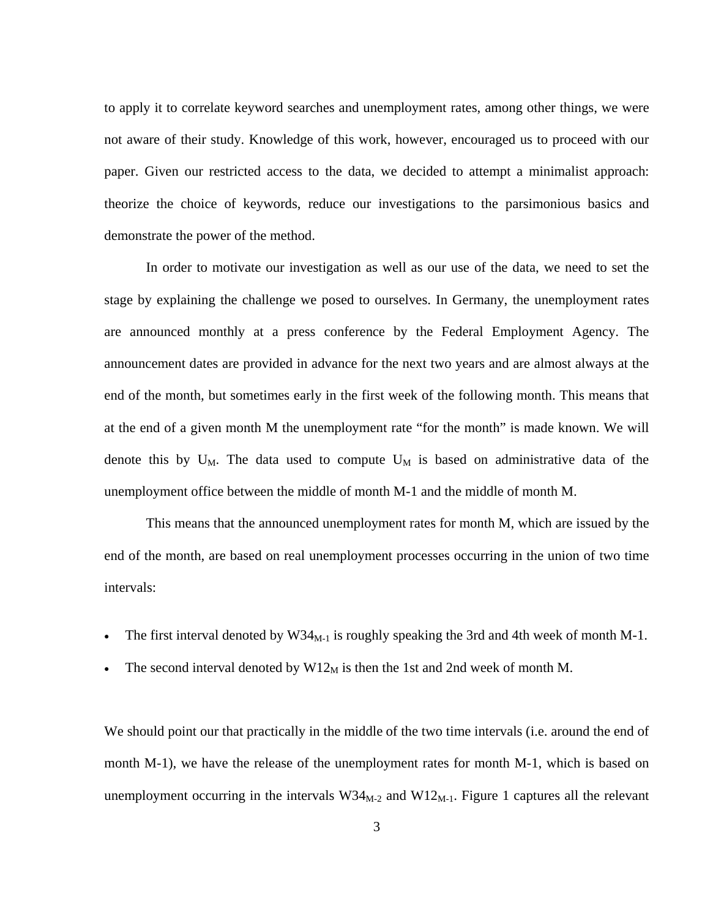to apply it to correlate keyword searches and unemployment rates, among other things, we were not aware of their study. Knowledge of this work, however, encouraged us to proceed with our paper. Given our restricted access to the data, we decided to attempt a minimalist approach: theorize the choice of keywords, reduce our investigations to the parsimonious basics and demonstrate the power of the method.

 In order to motivate our investigation as well as our use of the data, we need to set the stage by explaining the challenge we posed to ourselves. In Germany, the unemployment rates are announced monthly at a press conference by the Federal Employment Agency. The announcement dates are provided in advance for the next two years and are almost always at the end of the month, but sometimes early in the first week of the following month. This means that at the end of a given month M the unemployment rate "for the month" is made known. We will denote this by  $U_M$ . The data used to compute  $U_M$  is based on administrative data of the unemployment office between the middle of month M-1 and the middle of month M.

 This means that the announced unemployment rates for month M, which are issued by the end of the month, are based on real unemployment processes occurring in the union of two time intervals:

- The first interval denoted by  $W34_{M-1}$  is roughly speaking the 3rd and 4th week of month M-1.
- The second interval denoted by  $W12_M$  is then the 1st and 2nd week of month M.

We should point our that practically in the middle of the two time intervals (i.e. around the end of month M-1), we have the release of the unemployment rates for month M-1, which is based on unemployment occurring in the intervals  $W34_{M-2}$  and  $W12_{M-1}$ . Figure 1 captures all the relevant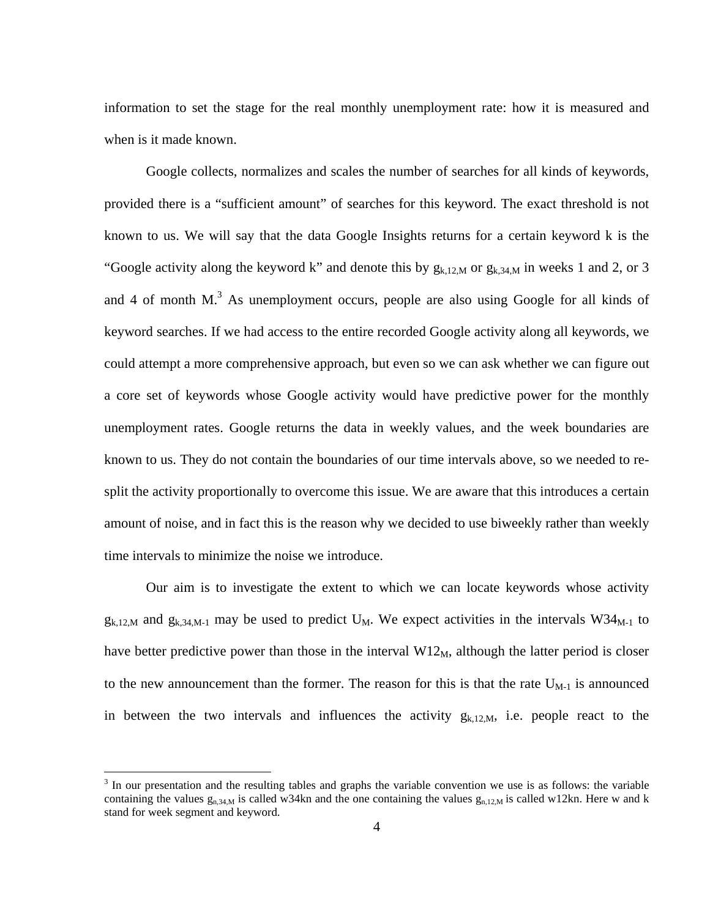information to set the stage for the real monthly unemployment rate: how it is measured and when is it made known.

 Google collects, normalizes and scales the number of searches for all kinds of keywords, provided there is a "sufficient amount" of searches for this keyword. The exact threshold is not known to us. We will say that the data Google Insights returns for a certain keyword k is the "Google activity along the keyword k" and denote this by  $g_{k,12,M}$  or  $g_{k,34,M}$  in weeks 1 and 2, or 3 and 4 of month  $M$ .<sup>3</sup> As unemployment occurs, people are also using Google for all kinds of keyword searches. If we had access to the entire recorded Google activity along all keywords, we could attempt a more comprehensive approach, but even so we can ask whether we can figure out a core set of keywords whose Google activity would have predictive power for the monthly unemployment rates. Google returns the data in weekly values, and the week boundaries are known to us. They do not contain the boundaries of our time intervals above, so we needed to resplit the activity proportionally to overcome this issue. We are aware that this introduces a certain amount of noise, and in fact this is the reason why we decided to use biweekly rather than weekly time intervals to minimize the noise we introduce.

 Our aim is to investigate the extent to which we can locate keywords whose activity  $g_{k,12,M}$  and  $g_{k,34,M-1}$  may be used to predict U<sub>M</sub>. We expect activities in the intervals W34<sub>M-1</sub> to have better predictive power than those in the interval  $W12_M$ , although the latter period is closer to the new announcement than the former. The reason for this is that the rate  $U_{M-1}$  is announced in between the two intervals and influences the activity  $g_{k,12,M}$ , i.e. people react to the

 $\overline{a}$ 

 $3 \text{ In our presentation and the resulting tables and graphs the variable convention we use is as follows: the variable$ containing the values  $g_{n,34,M}$  is called w34kn and the one containing the values  $g_{n,12,M}$  is called w12kn. Here w and k stand for week segment and keyword.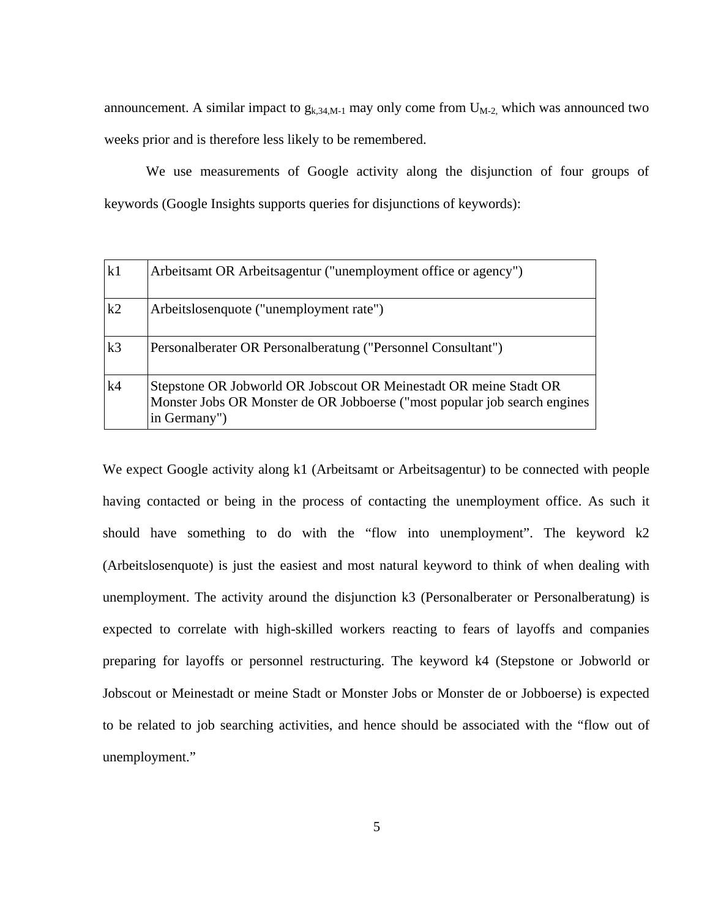announcement. A similar impact to  $g_{k,34,M-1}$  may only come from  $U_{M-2}$ , which was announced two weeks prior and is therefore less likely to be remembered.

 We use measurements of Google activity along the disjunction of four groups of keywords (Google Insights supports queries for disjunctions of keywords):

| k1             | Arbeitsamt OR Arbeitsagentur ("unemployment office or agency")                                                                                                  |
|----------------|-----------------------------------------------------------------------------------------------------------------------------------------------------------------|
| k2             | Arbeitslosenquote ("unemployment rate")                                                                                                                         |
| k <sub>3</sub> | Personalberater OR Personalberatung ("Personnel Consultant")                                                                                                    |
| k4             | Stepstone OR Jobworld OR Jobscout OR Meinestadt OR meine Stadt OR<br>Monster Jobs OR Monster de OR Jobboerse ("most popular job search engines"<br>in Germany") |

We expect Google activity along k1 (Arbeitsamt or Arbeitsagentur) to be connected with people having contacted or being in the process of contacting the unemployment office. As such it should have something to do with the "flow into unemployment". The keyword k2 (Arbeitslosenquote) is just the easiest and most natural keyword to think of when dealing with unemployment. The activity around the disjunction k3 (Personalberater or Personalberatung) is expected to correlate with high-skilled workers reacting to fears of layoffs and companies preparing for layoffs or personnel restructuring. The keyword k4 (Stepstone or Jobworld or Jobscout or Meinestadt or meine Stadt or Monster Jobs or Monster de or Jobboerse) is expected to be related to job searching activities, and hence should be associated with the "flow out of unemployment."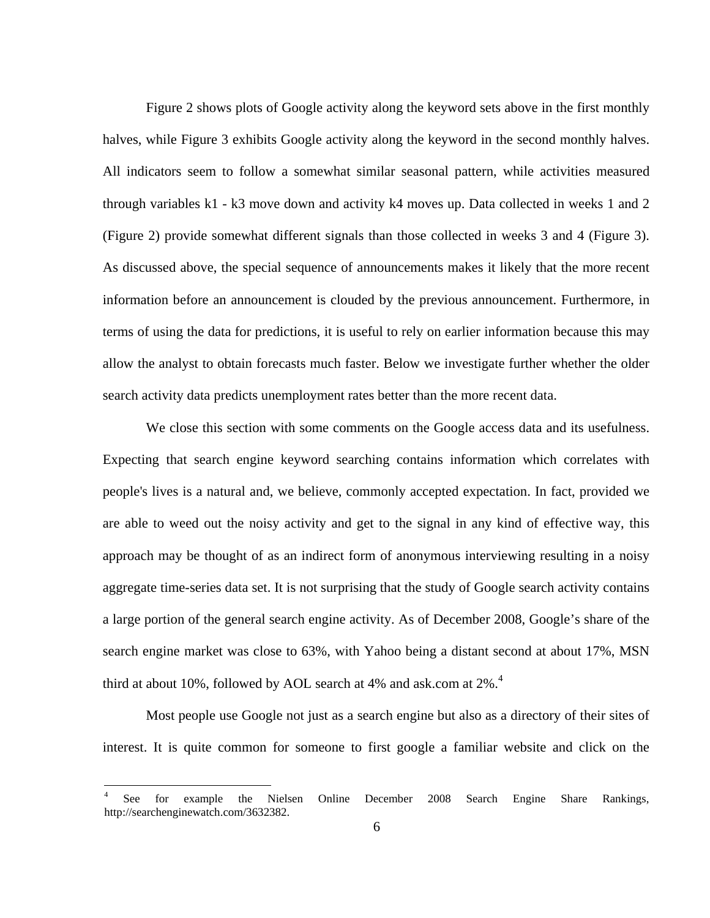Figure 2 shows plots of Google activity along the keyword sets above in the first monthly halves, while Figure 3 exhibits Google activity along the keyword in the second monthly halves. All indicators seem to follow a somewhat similar seasonal pattern, while activities measured through variables k1 - k3 move down and activity k4 moves up. Data collected in weeks 1 and 2 (Figure 2) provide somewhat different signals than those collected in weeks 3 and 4 (Figure 3). As discussed above, the special sequence of announcements makes it likely that the more recent information before an announcement is clouded by the previous announcement. Furthermore, in terms of using the data for predictions, it is useful to rely on earlier information because this may allow the analyst to obtain forecasts much faster. Below we investigate further whether the older search activity data predicts unemployment rates better than the more recent data.

We close this section with some comments on the Google access data and its usefulness. Expecting that search engine keyword searching contains information which correlates with people's lives is a natural and, we believe, commonly accepted expectation. In fact, provided we are able to weed out the noisy activity and get to the signal in any kind of effective way, this approach may be thought of as an indirect form of anonymous interviewing resulting in a noisy aggregate time-series data set. It is not surprising that the study of Google search activity contains a large portion of the general search engine activity. As of December 2008, Google's share of the search engine market was close to 63%, with Yahoo being a distant second at about 17%, MSN third at about 10%, followed by AOL search at 4% and ask.com at  $2\%$ .<sup>4</sup>

 Most people use Google not just as a search engine but also as a directory of their sites of interest. It is quite common for someone to first google a familiar website and click on the

 $\overline{a}$ 

<sup>4</sup> See for example the Nielsen Online December 2008 Search Engine Share Rankings, http://searchenginewatch.com/3632382.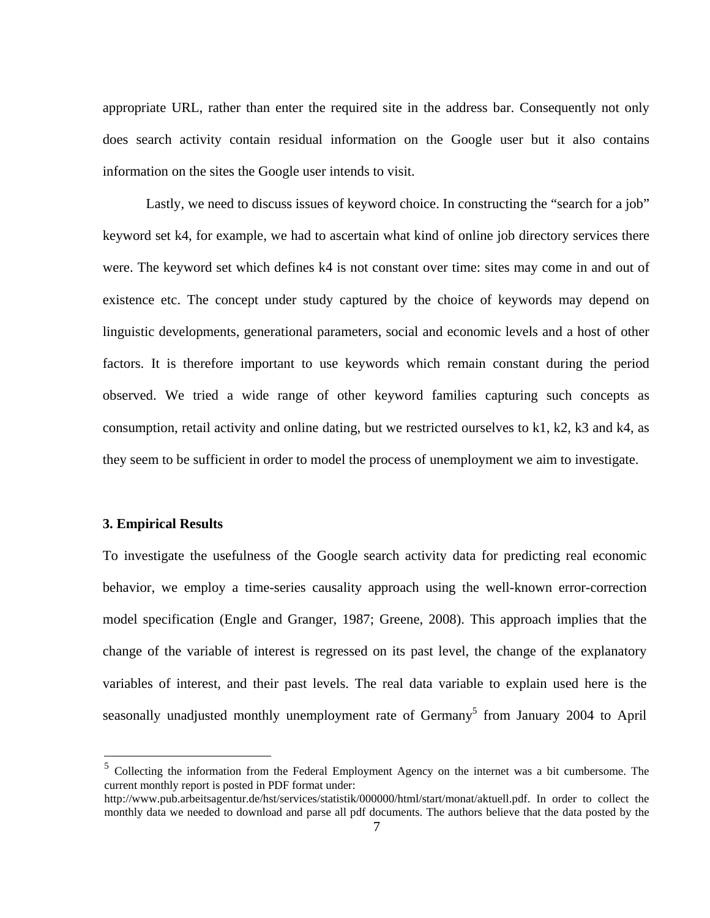appropriate URL, rather than enter the required site in the address bar. Consequently not only does search activity contain residual information on the Google user but it also contains information on the sites the Google user intends to visit.

Lastly, we need to discuss issues of keyword choice. In constructing the "search for a job" keyword set k4, for example, we had to ascertain what kind of online job directory services there were. The keyword set which defines k4 is not constant over time: sites may come in and out of existence etc. The concept under study captured by the choice of keywords may depend on linguistic developments, generational parameters, social and economic levels and a host of other factors. It is therefore important to use keywords which remain constant during the period observed. We tried a wide range of other keyword families capturing such concepts as consumption, retail activity and online dating, but we restricted ourselves to k1, k2, k3 and k4, as they seem to be sufficient in order to model the process of unemployment we aim to investigate.

#### **3. Empirical Results**

 $\overline{a}$ 

To investigate the usefulness of the Google search activity data for predicting real economic behavior, we employ a time-series causality approach using the well-known error-correction model specification (Engle and Granger, 1987; Greene, 2008). This approach implies that the change of the variable of interest is regressed on its past level, the change of the explanatory variables of interest, and their past levels. The real data variable to explain used here is the seasonally unadjusted monthly unemployment rate of Germany<sup>5</sup> from January 2004 to April

<sup>&</sup>lt;sup>5</sup> Collecting the information from the Federal Employment Agency on the internet was a bit cumbersome. The current monthly report is posted in PDF format under:

http://www.pub.arbeitsagentur.de/hst/services/statistik/000000/html/start/monat/aktuell.pdf. In order to collect the monthly data we needed to download and parse all pdf documents. The authors believe that the data posted by the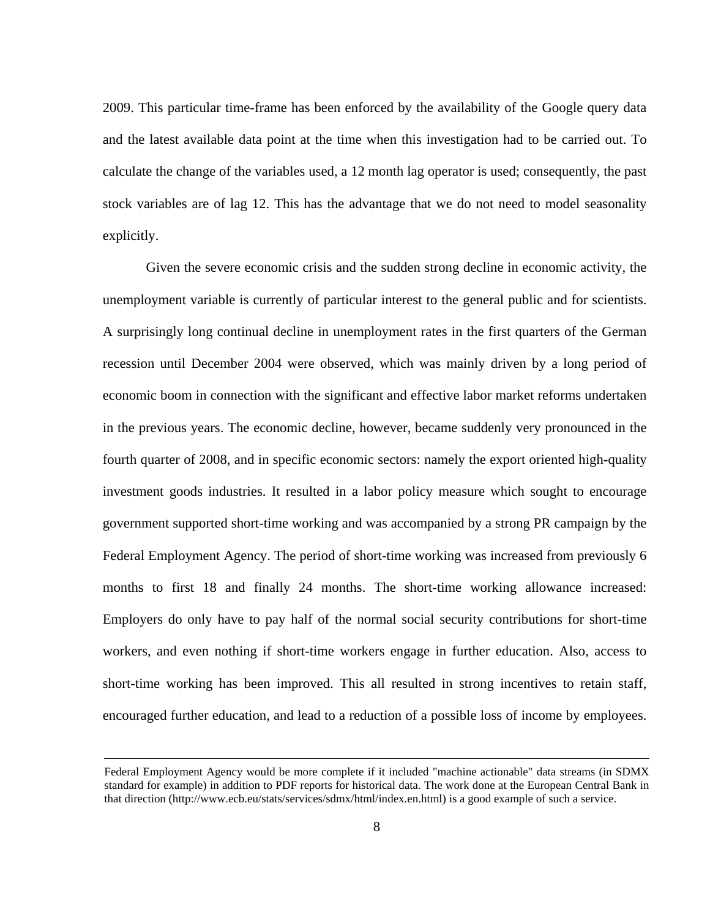2009. This particular time-frame has been enforced by the availability of the Google query data and the latest available data point at the time when this investigation had to be carried out. To calculate the change of the variables used, a 12 month lag operator is used; consequently, the past stock variables are of lag 12. This has the advantage that we do not need to model seasonality explicitly.

 Given the severe economic crisis and the sudden strong decline in economic activity, the unemployment variable is currently of particular interest to the general public and for scientists. A surprisingly long continual decline in unemployment rates in the first quarters of the German recession until December 2004 were observed, which was mainly driven by a long period of economic boom in connection with the significant and effective labor market reforms undertaken in the previous years. The economic decline, however, became suddenly very pronounced in the fourth quarter of 2008, and in specific economic sectors: namely the export oriented high-quality investment goods industries. It resulted in a labor policy measure which sought to encourage government supported short-time working and was accompanied by a strong PR campaign by the Federal Employment Agency. The period of short-time working was increased from previously 6 months to first 18 and finally 24 months. The short-time working allowance increased: Employers do only have to pay half of the normal social security contributions for short-time workers, and even nothing if short-time workers engage in further education. Also, access to short-time working has been improved. This all resulted in strong incentives to retain staff, encouraged further education, and lead to a reduction of a possible loss of income by employees.

Federal Employment Agency would be more complete if it included "machine actionable" data streams (in SDMX standard for example) in addition to PDF reports for historical data. The work done at the European Central Bank in that direction (http://www.ecb.eu/stats/services/sdmx/html/index.en.html) is a good example of such a service.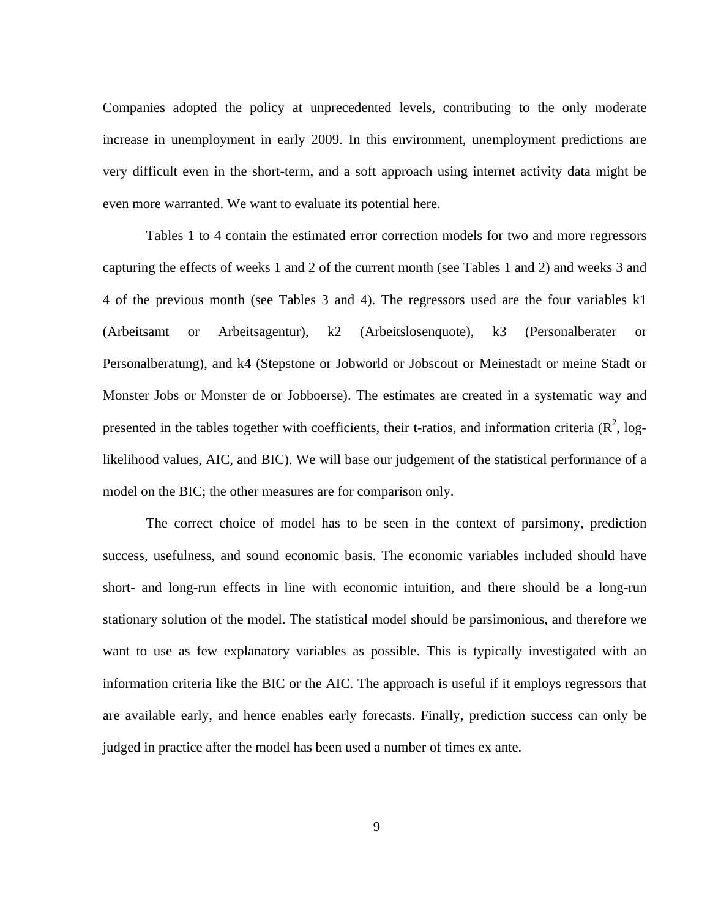Companies adopted the policy at unprecedented levels, contributing to the only moderate increase in unemployment in early 2009. In this environment, unemployment predictions are very difficult even in the short-term, and a soft approach using internet activity data might be even more warranted. We want to evaluate its potential here.

 Tables 1 to 4 contain the estimated error correction models for two and more regressors capturing the effects of weeks 1 and 2 of the current month (see Tables 1 and 2) and weeks 3 and 4 of the previous month (see Tables 3 and 4). The regressors used are the four variables k1 (Arbeitsamt or Arbeitsagentur), k2 (Arbeitslosenquote), k3 (Personalberater or Personalberatung), and k4 (Stepstone or Jobworld or Jobscout or Meinestadt or meine Stadt or Monster Jobs or Monster de or Jobboerse). The estimates are created in a systematic way and presented in the tables together with coefficients, their t-ratios, and information criteria  $(R^2, log$ likelihood values, AIC, and BIC). We will base our judgement of the statistical performance of a model on the BIC; the other measures are for comparison only.

 The correct choice of model has to be seen in the context of parsimony, prediction success, usefulness, and sound economic basis. The economic variables included should have short- and long-run effects in line with economic intuition, and there should be a long-run stationary solution of the model. The statistical model should be parsimonious, and therefore we want to use as few explanatory variables as possible. This is typically investigated with an information criteria like the BIC or the AIC. The approach is useful if it employs regressors that are available early, and hence enables early forecasts. Finally, prediction success can only be judged in practice after the model has been used a number of times ex ante.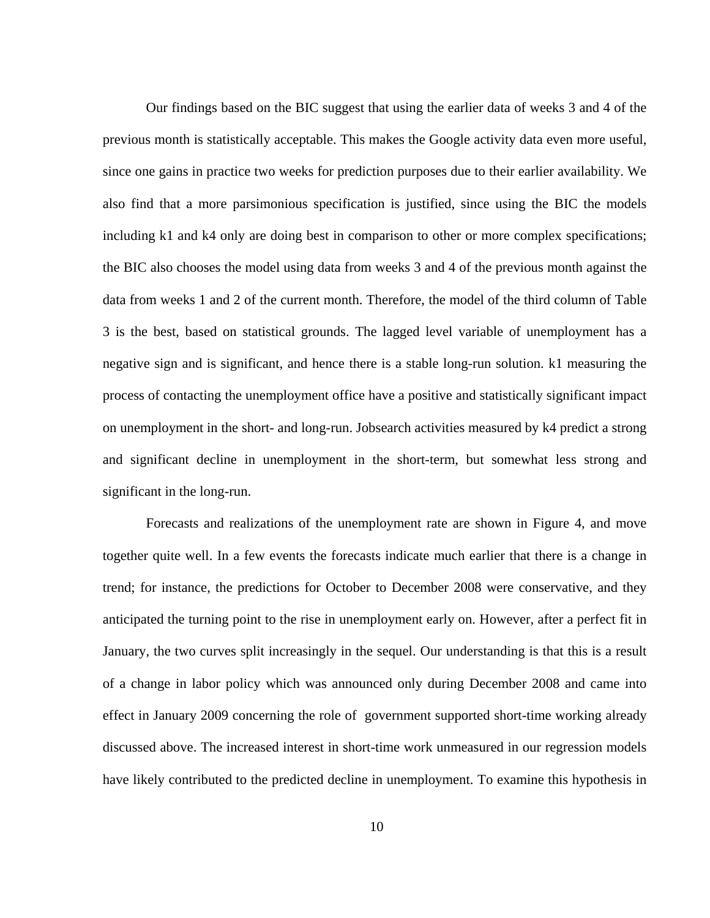Our findings based on the BIC suggest that using the earlier data of weeks 3 and 4 of the previous month is statistically acceptable. This makes the Google activity data even more useful, since one gains in practice two weeks for prediction purposes due to their earlier availability. We also find that a more parsimonious specification is justified, since using the BIC the models including k1 and k4 only are doing best in comparison to other or more complex specifications; the BIC also chooses the model using data from weeks 3 and 4 of the previous month against the data from weeks 1 and 2 of the current month. Therefore, the model of the third column of Table 3 is the best, based on statistical grounds. The lagged level variable of unemployment has a negative sign and is significant, and hence there is a stable long-run solution. k1 measuring the process of contacting the unemployment office have a positive and statistically significant impact on unemployment in the short- and long-run. Jobsearch activities measured by k4 predict a strong and significant decline in unemployment in the short-term, but somewhat less strong and significant in the long-run.

 Forecasts and realizations of the unemployment rate are shown in Figure 4, and move together quite well. In a few events the forecasts indicate much earlier that there is a change in trend; for instance, the predictions for October to December 2008 were conservative, and they anticipated the turning point to the rise in unemployment early on. However, after a perfect fit in January, the two curves split increasingly in the sequel. Our understanding is that this is a result of a change in labor policy which was announced only during December 2008 and came into effect in January 2009 concerning the role of government supported short-time working already discussed above. The increased interest in short-time work unmeasured in our regression models have likely contributed to the predicted decline in unemployment. To examine this hypothesis in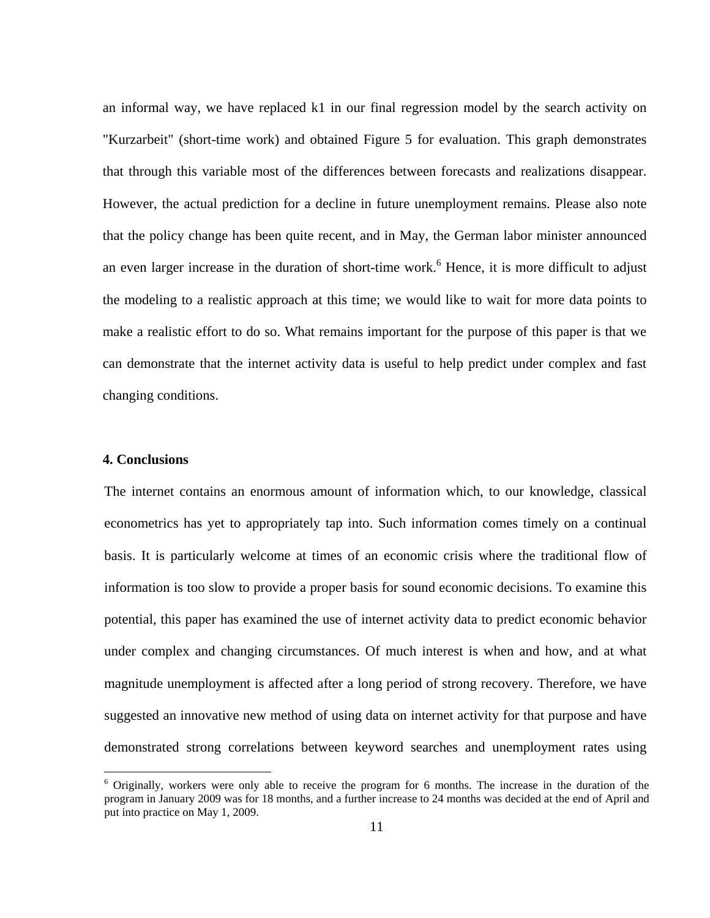an informal way, we have replaced k1 in our final regression model by the search activity on "Kurzarbeit" (short-time work) and obtained Figure 5 for evaluation. This graph demonstrates that through this variable most of the differences between forecasts and realizations disappear. However, the actual prediction for a decline in future unemployment remains. Please also note that the policy change has been quite recent, and in May, the German labor minister announced an even larger increase in the duration of short-time work.<sup>6</sup> Hence, it is more difficult to adjust the modeling to a realistic approach at this time; we would like to wait for more data points to make a realistic effort to do so. What remains important for the purpose of this paper is that we can demonstrate that the internet activity data is useful to help predict under complex and fast changing conditions.

#### **4. Conclusions**

 $\overline{a}$ 

The internet contains an enormous amount of information which, to our knowledge, classical econometrics has yet to appropriately tap into. Such information comes timely on a continual basis. It is particularly welcome at times of an economic crisis where the traditional flow of information is too slow to provide a proper basis for sound economic decisions. To examine this potential, this paper has examined the use of internet activity data to predict economic behavior under complex and changing circumstances. Of much interest is when and how, and at what magnitude unemployment is affected after a long period of strong recovery. Therefore, we have suggested an innovative new method of using data on internet activity for that purpose and have demonstrated strong correlations between keyword searches and unemployment rates using

<sup>&</sup>lt;sup>6</sup> Originally, workers were only able to receive the program for 6 months. The increase in the duration of the program in January 2009 was for 18 months, and a further increase to 24 months was decided at the end of April and put into practice on May 1, 2009.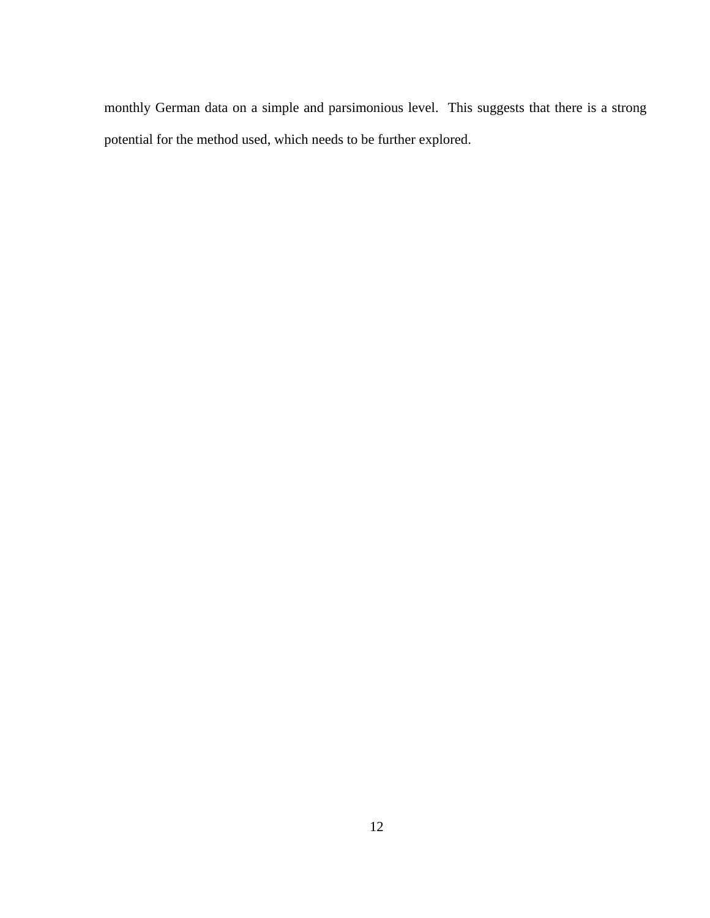monthly German data on a simple and parsimonious level. This suggests that there is a strong potential for the method used, which needs to be further explored.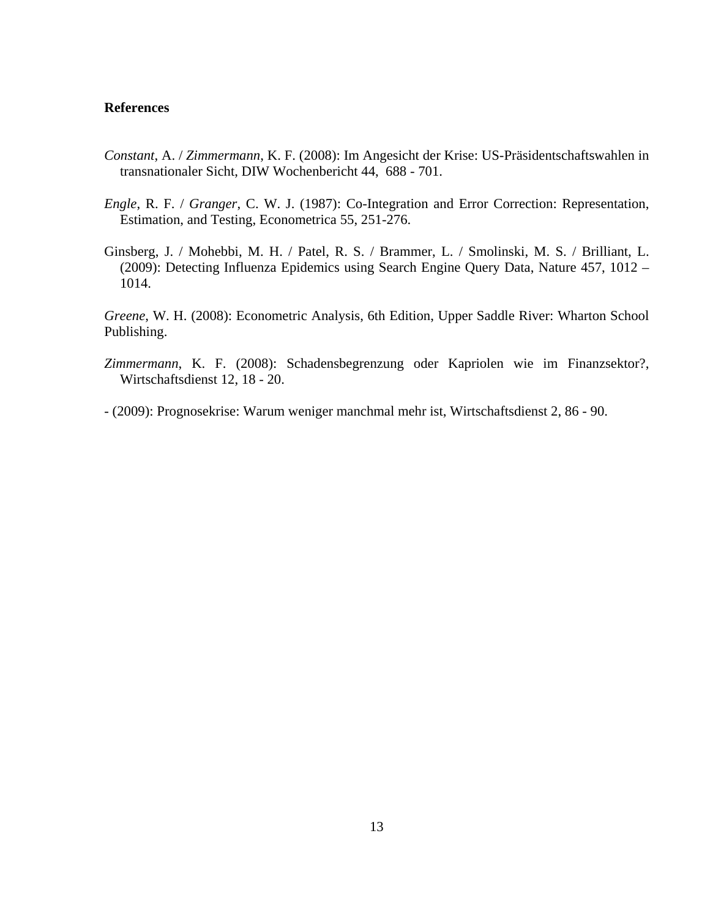#### **References**

- *Constant*, A. / *Zimmermann*, K. F. (2008): Im Angesicht der Krise: US-Präsidentschaftswahlen in transnationaler Sicht, DIW Wochenbericht 44, 688 - 701.
- *Engle*, R. F. / *Granger*, C. W. J. (1987): Co-Integration and Error Correction: Representation, Estimation, and Testing, Econometrica 55, 251-276.
- Ginsberg, J. / Mohebbi, M. H. / Patel, R. S. / Brammer, L. / Smolinski, M. S. / Brilliant, L. (2009): Detecting Influenza Epidemics using Search Engine Query Data, Nature 457, 1012 – 1014.

*Greene*, W. H. (2008): Econometric Analysis, 6th Edition, Upper Saddle River: Wharton School Publishing.

*Zimmermann*, K. F. (2008): Schadensbegrenzung oder Kapriolen wie im Finanzsektor?, Wirtschaftsdienst 12, 18 - 20.

- (2009): Prognosekrise: Warum weniger manchmal mehr ist, Wirtschaftsdienst 2, 86 - 90.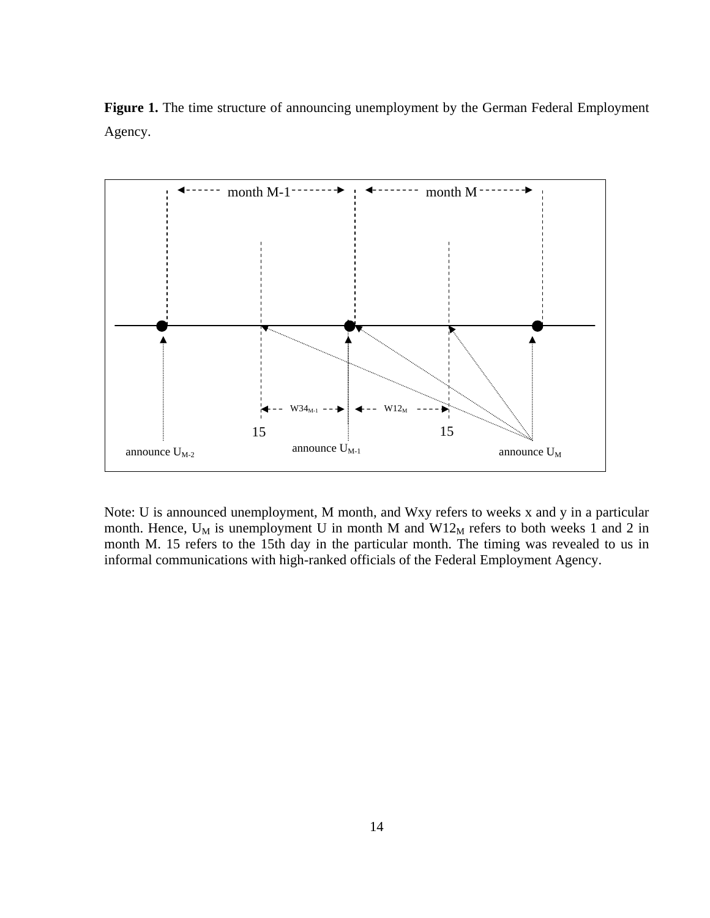**Figure 1.** The time structure of announcing unemployment by the German Federal Employment Agency.



Note: U is announced unemployment, M month, and Wxy refers to weeks x and y in a particular month. Hence,  $U_M$  is unemployment U in month M and W12 $_M$  refers to both weeks 1 and 2 in month M. 15 refers to the 15th day in the particular month. The timing was revealed to us in informal communications with high-ranked officials of the Federal Employment Agency.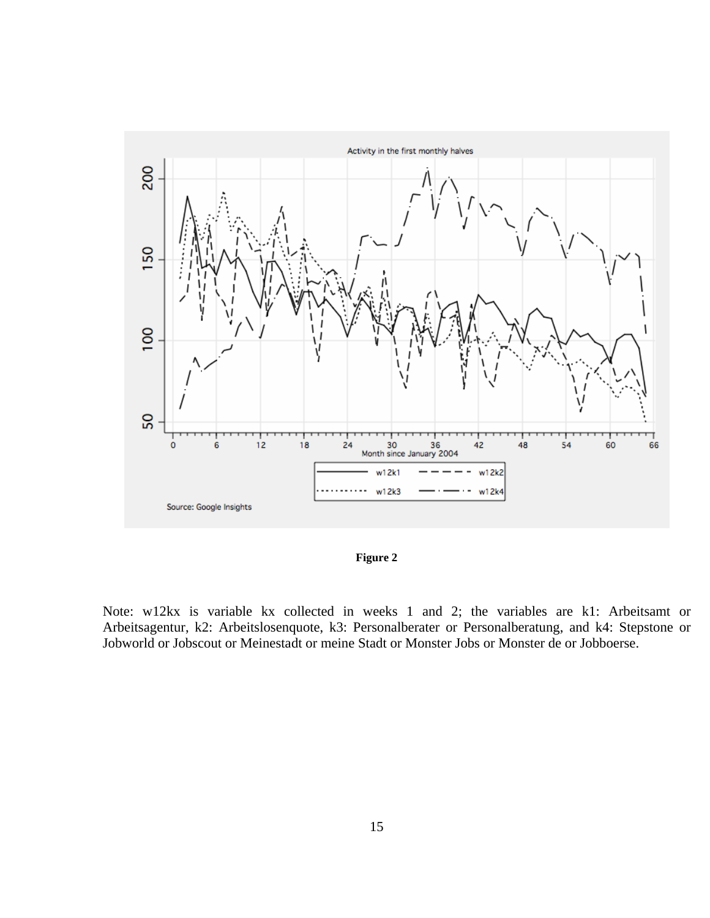

**Figure 2** 

Note: w12kx is variable kx collected in weeks 1 and 2; the variables are k1: Arbeitsamt or Arbeitsagentur, k2: Arbeitslosenquote, k3: Personalberater or Personalberatung, and k4: Stepstone or Jobworld or Jobscout or Meinestadt or meine Stadt or Monster Jobs or Monster de or Jobboerse.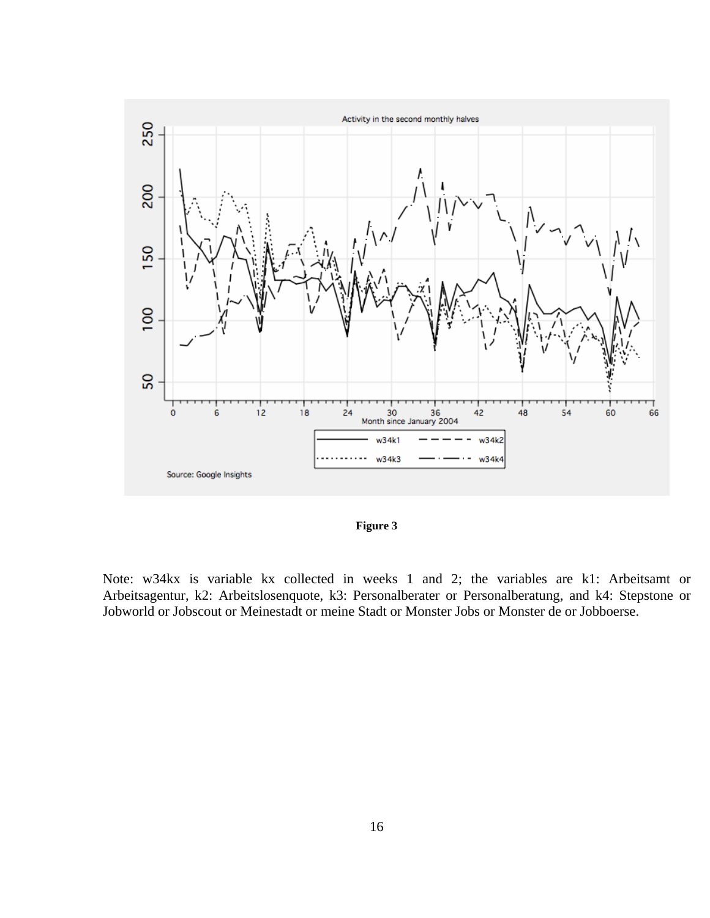

**Figure 3** 

Note: w34kx is variable kx collected in weeks 1 and 2; the variables are k1: Arbeitsamt or Arbeitsagentur, k2: Arbeitslosenquote, k3: Personalberater or Personalberatung, and k4: Stepstone or Jobworld or Jobscout or Meinestadt or meine Stadt or Monster Jobs or Monster de or Jobboerse.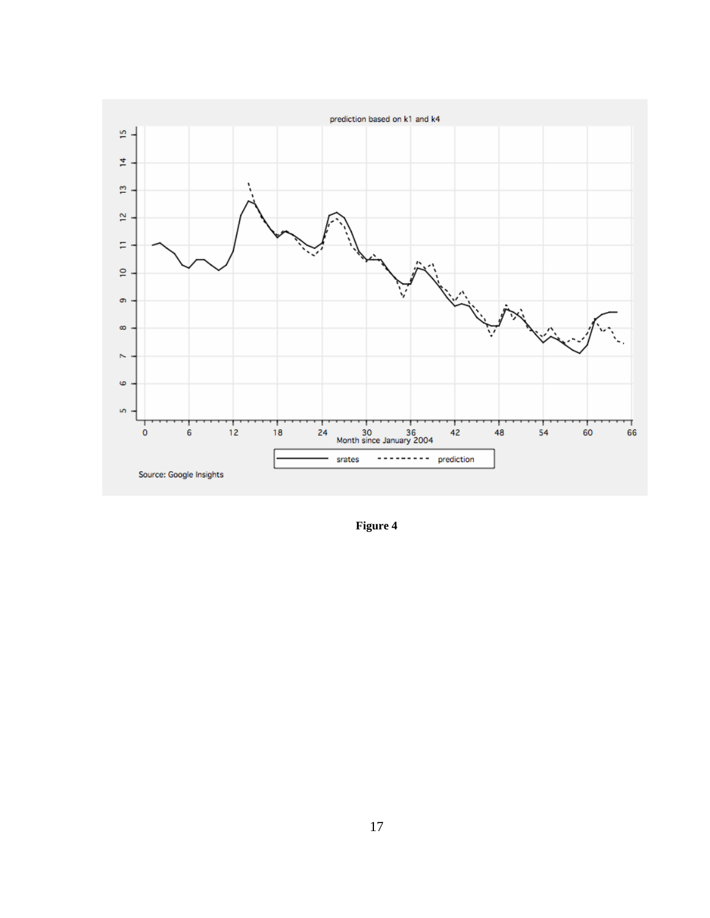

**Figure 4**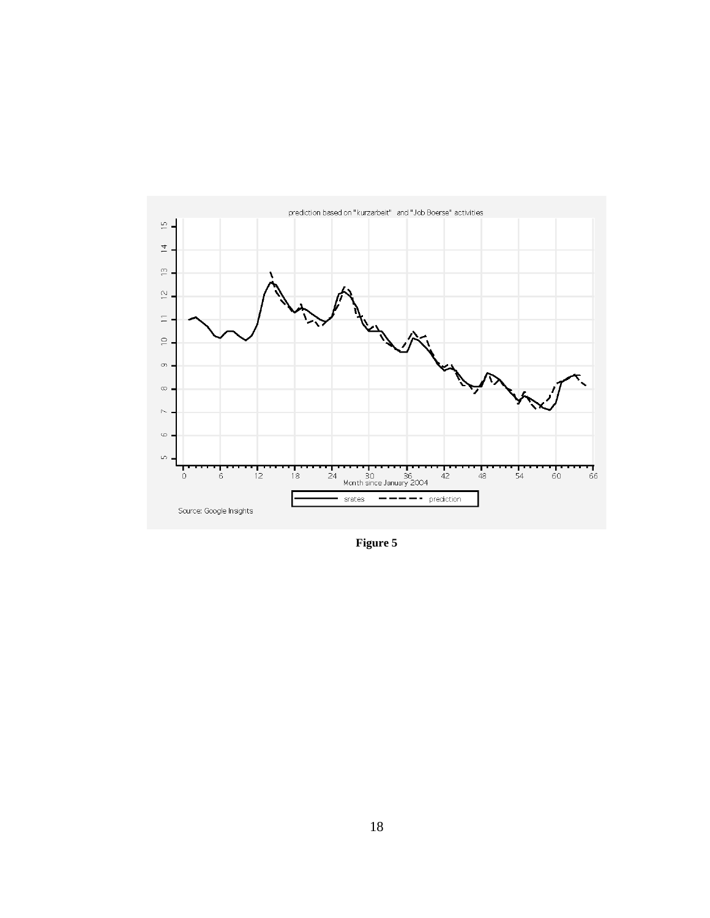

**Figure 5**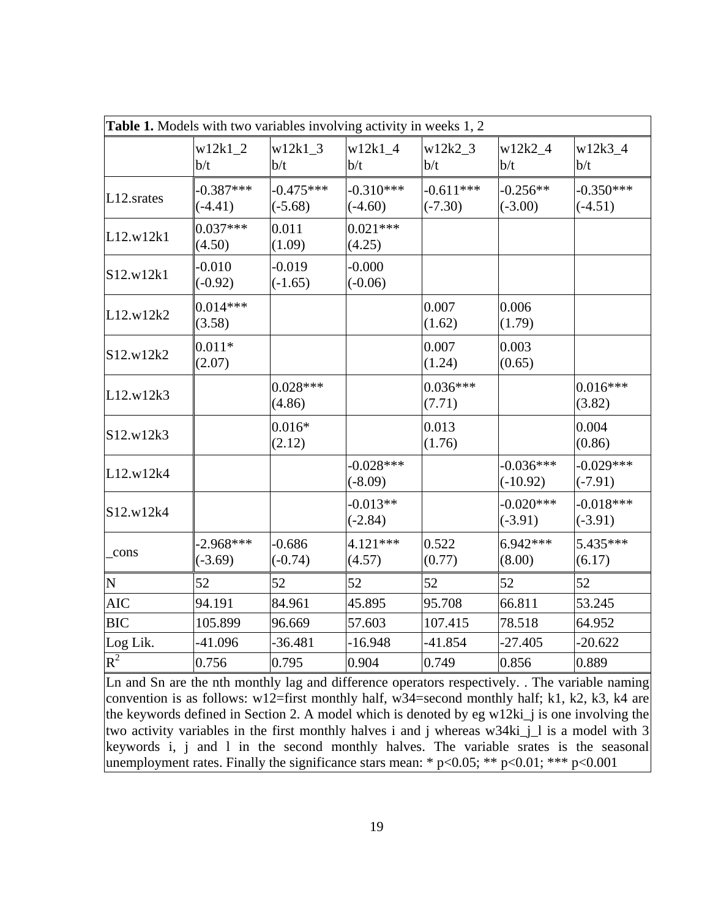|                | Table 1. Models with two variables involving activity in weeks 1, 2 |                          |                          |                          |                           |                          |
|----------------|---------------------------------------------------------------------|--------------------------|--------------------------|--------------------------|---------------------------|--------------------------|
|                | $w12k1$ 2<br>b/t                                                    | $w12k1$ 3<br>b/t         | $w12k1$ 4<br>b/t         | $w12k2$ 3<br>b/t         | $w12k2_4$<br>b/t          | $w12k3_4$<br>b/t         |
| $L12$ . srates | $-0.387***$<br>$(-4.41)$                                            | $-0.475***$<br>$(-5.68)$ | $-0.310***$<br>$(-4.60)$ | $-0.611***$<br>$(-7.30)$ | $-0.256**$<br>$(-3.00)$   | $-0.350***$<br>$(-4.51)$ |
| L12.w12k1      | $0.037***$<br>(4.50)                                                | 0.011<br>(1.09)          | $0.021***$<br>(4.25)     |                          |                           |                          |
| S12.w12k1      | $-0.010$<br>$(-0.92)$                                               | $-0.019$<br>$(-1.65)$    | $-0.000$<br>$(-0.06)$    |                          |                           |                          |
| L12.w12k2      | $0.014***$<br>(3.58)                                                |                          |                          | 0.007<br>(1.62)          | 0.006<br>(1.79)           |                          |
| S12.w12k2      | $0.011*$<br>(2.07)                                                  |                          |                          | 0.007<br>(1.24)          | 0.003<br>(0.65)           |                          |
| L12.w12k3      |                                                                     | $0.028***$<br>(4.86)     |                          | $0.036***$<br>(7.71)     |                           | $0.016***$<br>(3.82)     |
| S12.w12k3      |                                                                     | $0.016*$<br>(2.12)       |                          | 0.013<br>(1.76)          |                           | 0.004<br>(0.86)          |
| L12.w12k4      |                                                                     |                          | $-0.028***$<br>$(-8.09)$ |                          | $-0.036***$<br>$(-10.92)$ | $-0.029***$<br>$(-7.91)$ |
| S12.w12k4      |                                                                     |                          | $-0.013**$<br>$(-2.84)$  |                          | $-0.020***$<br>$(-3.91)$  | $-0.018***$<br>$(-3.91)$ |
| _cons          | $-2.968***$<br>$(-3.69)$                                            | $-0.686$<br>$(-0.74)$    | $4.121***$<br>(4.57)     | 0.522<br>(0.77)          | $6.942***$<br>(8.00)      | 5.435***<br>(6.17)       |
| N              | 52                                                                  | 52                       | 52                       | 52                       | 52                        | 52                       |
| <b>AIC</b>     | 94.191                                                              | 84.961                   | 45.895                   | 95.708                   | 66.811                    | 53.245                   |
| <b>BIC</b>     | 105.899                                                             | 96.669                   | 57.603                   | 107.415                  | 78.518                    | 64.952                   |
| Log Lik.       | -41.096                                                             | $-36.481$                | $-16.948$                | $-41.854$                | $-27.405$                 | $-20.622$                |
| $R^2$          | 0.756                                                               | 0.795                    | 0.904                    | 0.749                    | 0.856                     | 0.889                    |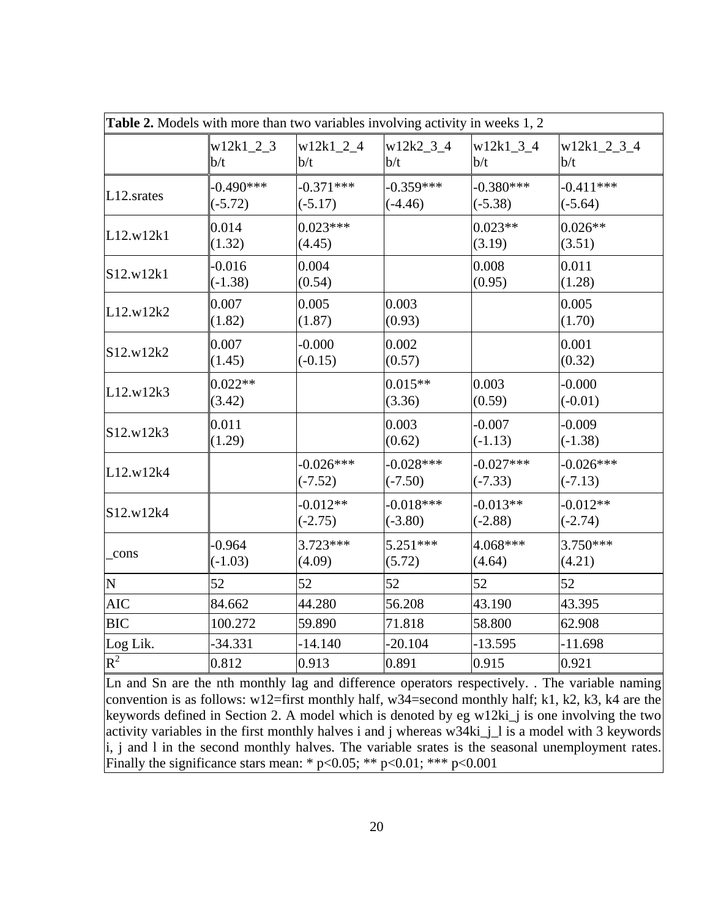|            | Table 2. Models with more than two variables involving activity in weeks 1, 2 |                          |                          |                          |                          |
|------------|-------------------------------------------------------------------------------|--------------------------|--------------------------|--------------------------|--------------------------|
|            | $w12k1_2_3$<br>b/t                                                            | $w12k1_2_4$<br>b/t       | $w12k2_3_4$<br>b/t       | w12k1 3 4<br>b/t         | $w12k1_2_3_4$<br>b/t     |
| L12.srates | $-0.490***$<br>$(-5.72)$                                                      | $-0.371***$<br>$(-5.17)$ | $-0.359***$<br>$(-4.46)$ | $-0.380***$<br>$(-5.38)$ | $-0.411***$<br>$(-5.64)$ |
| L12.w12k1  | 0.014<br>(1.32)                                                               | $0.023***$<br>(4.45)     |                          | $0.023**$<br>(3.19)      | $0.026**$<br>(3.51)      |
| S12.w12k1  | $-0.016$<br>$(-1.38)$                                                         | 0.004<br>(0.54)          |                          | 0.008<br>(0.95)          | 0.011<br>(1.28)          |
| L12.w12k2  | 0.007<br>(1.82)                                                               | 0.005<br>(1.87)          | 0.003<br>(0.93)          |                          | 0.005<br>(1.70)          |
| S12.w12k2  | 0.007<br>(1.45)                                                               | $-0.000$<br>$(-0.15)$    | 0.002<br>(0.57)          |                          | 0.001<br>(0.32)          |
| L12.w12k3  | $0.022**$<br>(3.42)                                                           |                          | $0.015**$<br>(3.36)      | 0.003<br>(0.59)          | $-0.000$<br>$(-0.01)$    |
| S12.w12k3  | 0.011<br>(1.29)                                                               |                          | 0.003<br>(0.62)          | $-0.007$<br>$(-1.13)$    | $-0.009$<br>$(-1.38)$    |
| L12.w12k4  |                                                                               | $-0.026***$<br>$(-7.52)$ | $-0.028***$<br>$(-7.50)$ | $-0.027***$<br>$(-7.33)$ | $-0.026***$<br>$(-7.13)$ |
| S12.w12k4  |                                                                               | $-0.012**$<br>$(-2.75)$  | $-0.018***$<br>$(-3.80)$ | $-0.013**$<br>$(-2.88)$  | $-0.012**$<br>$(-2.74)$  |
| _cons      | $-0.964$<br>$(-1.03)$                                                         | $3.723***$<br>(4.09)     | $5.251***$<br>(5.72)     | 4.068***<br>(4.64)       | 3.750***<br>(4.21)       |
| N          | 52                                                                            | 52                       | 52                       | 52                       | 52                       |
| <b>AIC</b> | 84.662                                                                        | 44.280                   | 56.208                   | 43.190                   | 43.395                   |
| <b>BIC</b> | 100.272                                                                       | 59.890                   | 71.818                   | 58.800                   | 62.908                   |
| Log Lik.   | $-34.331$                                                                     | $-14.140$                | $-20.104$                | $-13.595$                | $-11.698$                |
| $R^2$      | 0.812                                                                         | 0.913                    | 0.891                    | 0.915                    | 0.921                    |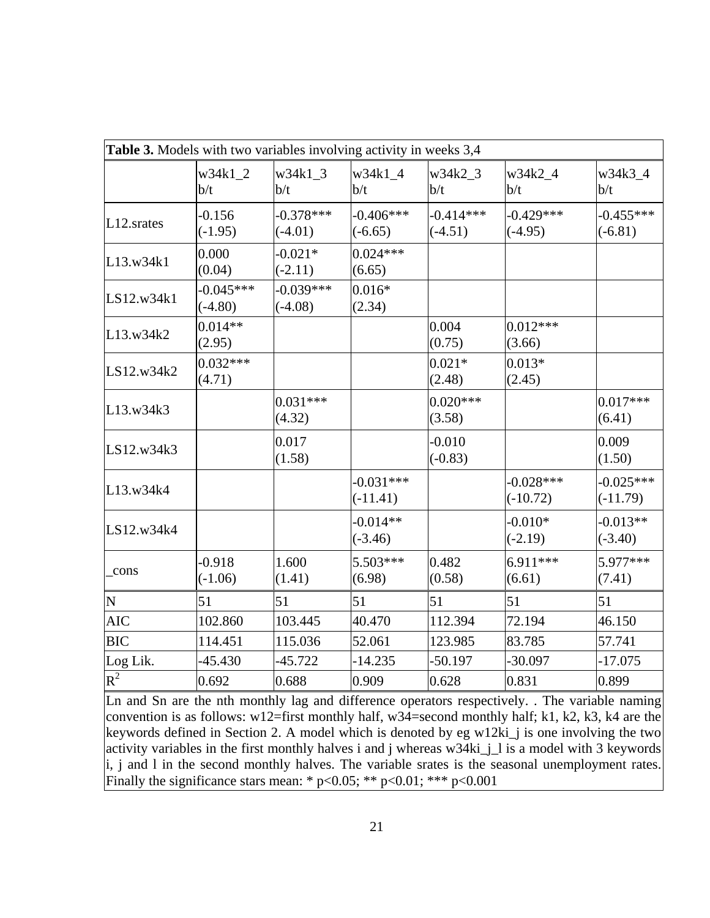| Table 3. Models with two variables involving activity in weeks 3,4 |                          |                          |                           |                          |                           |                           |
|--------------------------------------------------------------------|--------------------------|--------------------------|---------------------------|--------------------------|---------------------------|---------------------------|
|                                                                    | $w34k1_2$<br>b/t         | $w34k1_3$<br>b/t         | w34k1_4<br>b/t            | w34k2 3<br>b/t           | w34k2_4<br>b/t            | w34k3_4<br>b/t            |
| $L12$ . srates                                                     | $-0.156$<br>$(-1.95)$    | $-0.378***$<br>$(-4.01)$ | $-0.406***$<br>$(-6.65)$  | $-0.414***$<br>$(-4.51)$ | $-0.429***$<br>$(-4.95)$  | $-0.455***$<br>$(-6.81)$  |
| L13.w34k1                                                          | 0.000<br>(0.04)          | $-0.021*$<br>$(-2.11)$   | $0.024***$<br>(6.65)      |                          |                           |                           |
| LS12.w34k1                                                         | $-0.045***$<br>$(-4.80)$ | $-0.039***$<br>$(-4.08)$ | $0.016*$<br>(2.34)        |                          |                           |                           |
| L13.w34k2                                                          | $0.014**$<br>(2.95)      |                          |                           | 0.004<br>(0.75)          | $0.012***$<br>(3.66)      |                           |
| LS12.w34k2                                                         | $0.032***$<br>(4.71)     |                          |                           | $0.021*$<br>(2.48)       | $0.013*$<br>(2.45)        |                           |
| L13.w34k3                                                          |                          | $0.031***$<br>(4.32)     |                           | $0.020***$<br>(3.58)     |                           | $0.017***$<br>(6.41)      |
| LS12.w34k3                                                         |                          | 0.017<br>(1.58)          |                           | $-0.010$<br>$(-0.83)$    |                           | 0.009<br>(1.50)           |
| L13.w34k4                                                          |                          |                          | $-0.031***$<br>$(-11.41)$ |                          | $-0.028***$<br>$(-10.72)$ | $-0.025***$<br>$(-11.79)$ |
| LS12.w34k4                                                         |                          |                          | $-0.014**$<br>$(-3.46)$   |                          | $-0.010*$<br>$(-2.19)$    | $-0.013**$<br>$(-3.40)$   |
| _cons                                                              | $-0.918$<br>$(-1.06)$    | 1.600<br>(1.41)          | 5.503***<br>(6.98)        | 0.482<br>(0.58)          | $6.911***$<br>(6.61)      | 5.977***<br>(7.41)        |
| $\overline{\mathbf{N}}$                                            | 51                       | 51                       | 51                        | 51                       | 51                        | 51                        |
| <b>AIC</b>                                                         | 102.860                  | 103.445                  | 40.470                    | 112.394                  | 72.194                    | 46.150                    |
| <b>BIC</b>                                                         | 114.451                  | 115.036                  | 52.061                    | 123.985                  | 83.785                    | 57.741                    |
| Log Lik.                                                           | $-45.430$                | $-45.722$                | $-14.235$                 | $-50.197$                | $-30.097$                 | $-17.075$                 |
| $R^2$                                                              | 0.692                    | 0.688                    | 0.909                     | 0.628                    | 0.831                     | 0.899                     |